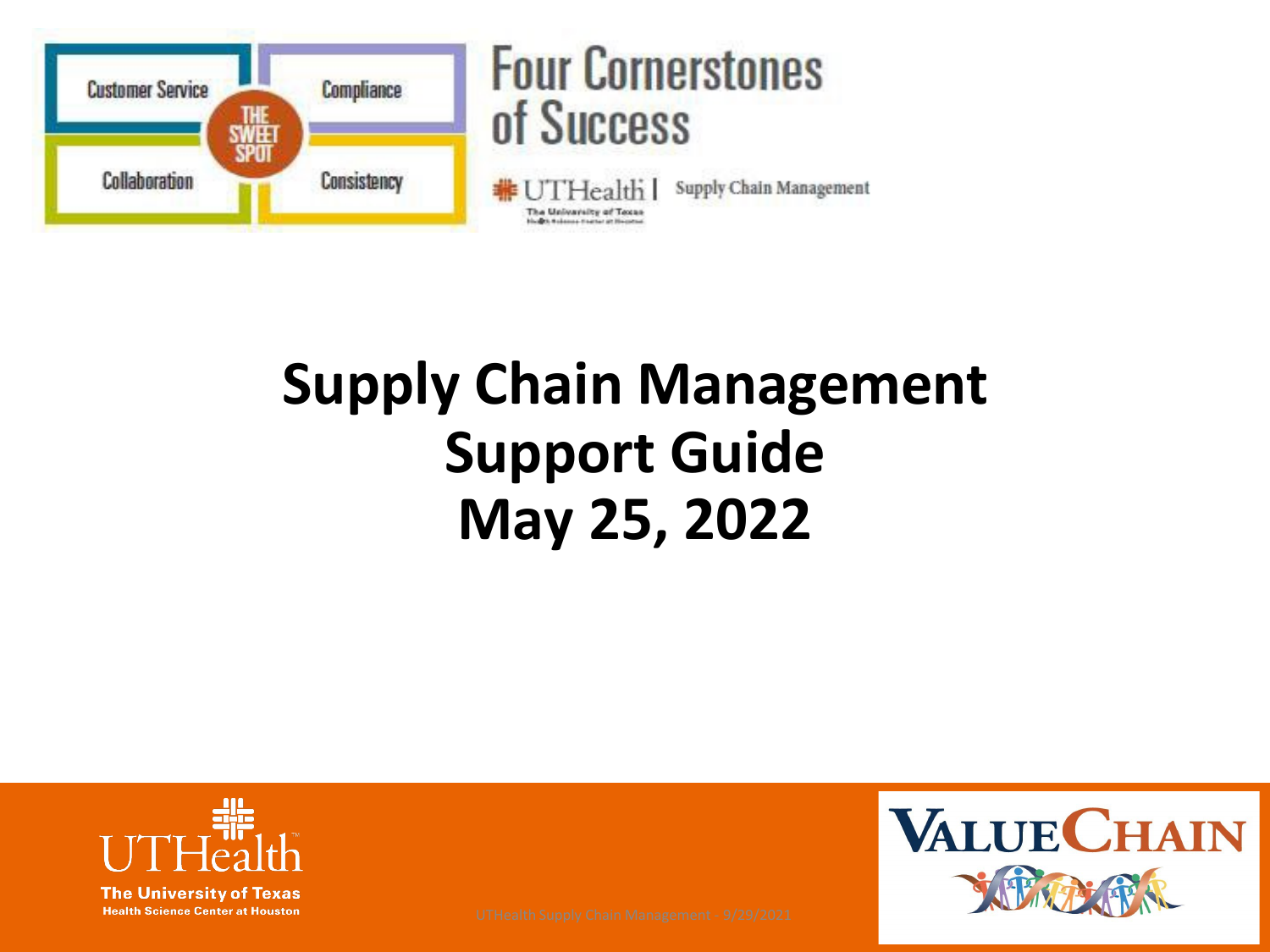

# **Supply Chain Management Support Guide May 25, 2022**



**Health Science Center at Houston** 

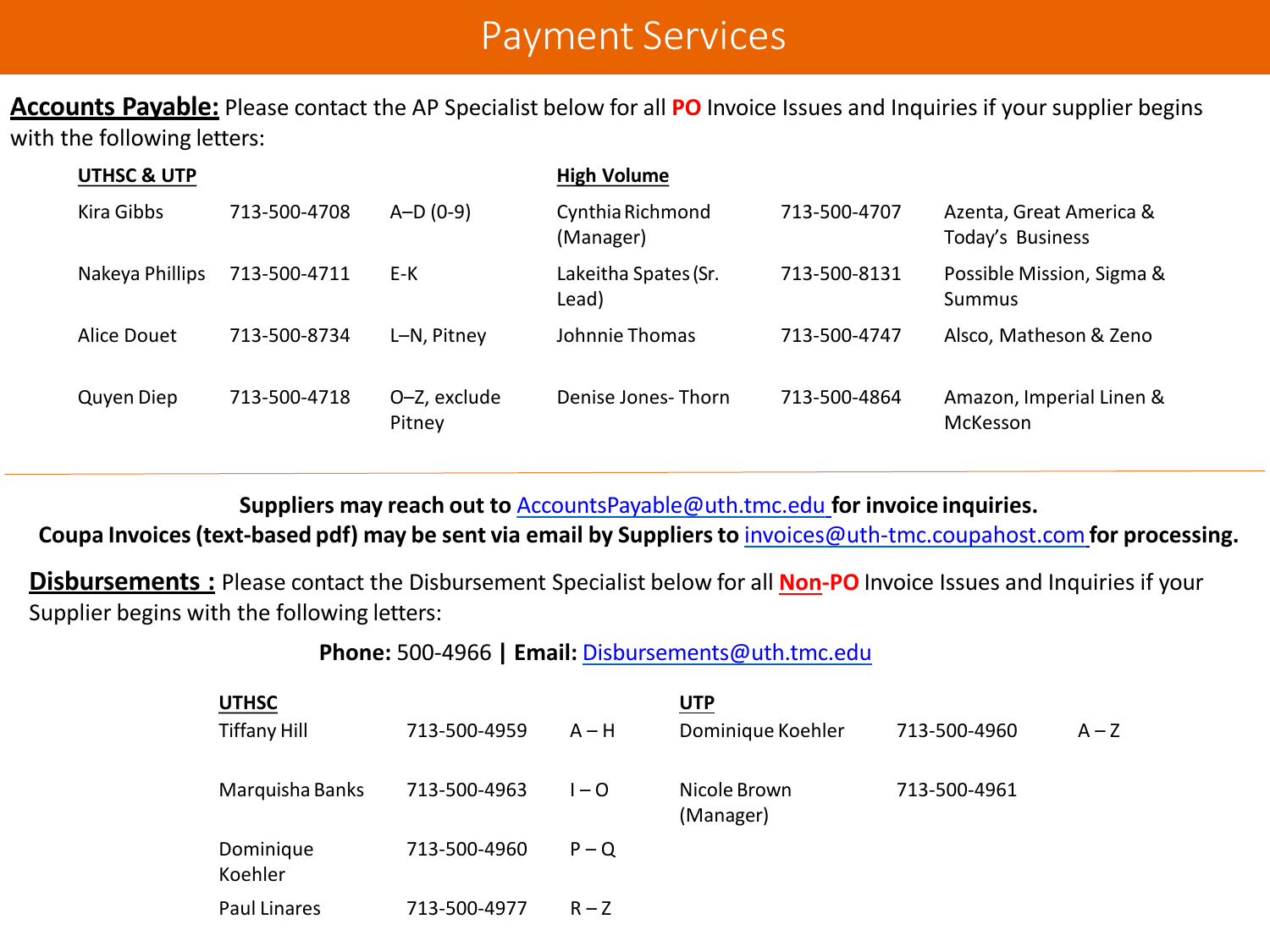### Payment Services

**Accounts Payable:** Please contact the AP Specialist below for all **PO** Invoice Issues and Inquiries if your supplier begins with the following letters:

| <b>UTHSC &amp; UTP</b> |              |                        | <b>High Volume</b>            |              |                                             |
|------------------------|--------------|------------------------|-------------------------------|--------------|---------------------------------------------|
| Kira Gibbs             | 713-500-4708 | $A-D(0-9)$             | Cynthia Richmond<br>(Manager) | 713-500-4707 | Azenta, Great America &<br>Today's Business |
| Nakeya Phillips        | 713-500-4711 | E-K                    | Lakeitha Spates (Sr.<br>Lead) | 713-500-8131 | Possible Mission, Sigma &<br><b>Summus</b>  |
| Alice Douet            | 713-500-8734 | L-N, Pitney            | Johnnie Thomas                | 713-500-4747 | Alsco, Matheson & Zeno                      |
| Quyen Diep             | 713-500-4718 | O-Z, exclude<br>Pitney | Denise Jones-Thorn            | 713-500-4864 | Amazon, Imperial Linen &<br>McKesson        |

**Suppliers may reach out to** [AccountsPayable@uth.tmc.edu](mailto:AccountsPayable@uth.tmc.edu) **for invoice inquiries.**

**Coupa Invoices(text-based pdf) may be sent via email by Suppliersto** [invoices@uth-tmc.coupahost.com](mailto:invoices@uth-tmc.coupahost.com)**for processing.**

**Disbursements :** Please contact the Disbursement Specialist below for all **Non-PO** Invoice Issues and Inquiries if your Supplier begins with the following letters:

#### **Phone:** 500-4966 **| Email:** [Disbursements@uth.tmc.edu](mailto:Disbursements@uth.tmc.edu)

| <b>UTHSC</b>         |              |         | <u>UTP</u>                |              |         |
|----------------------|--------------|---------|---------------------------|--------------|---------|
| <b>Tiffany Hill</b>  | 713-500-4959 | $A - H$ | Dominique Koehler         | 713-500-4960 | $A - Z$ |
| Marquisha Banks      | 713-500-4963 | $1 - Q$ | Nicole Brown<br>(Manager) | 713-500-4961 |         |
| Dominique<br>Koehler | 713-500-4960 | $P - Q$ |                           |              |         |
| <b>Paul Linares</b>  | 713-500-4977 | $R - Z$ |                           |              |         |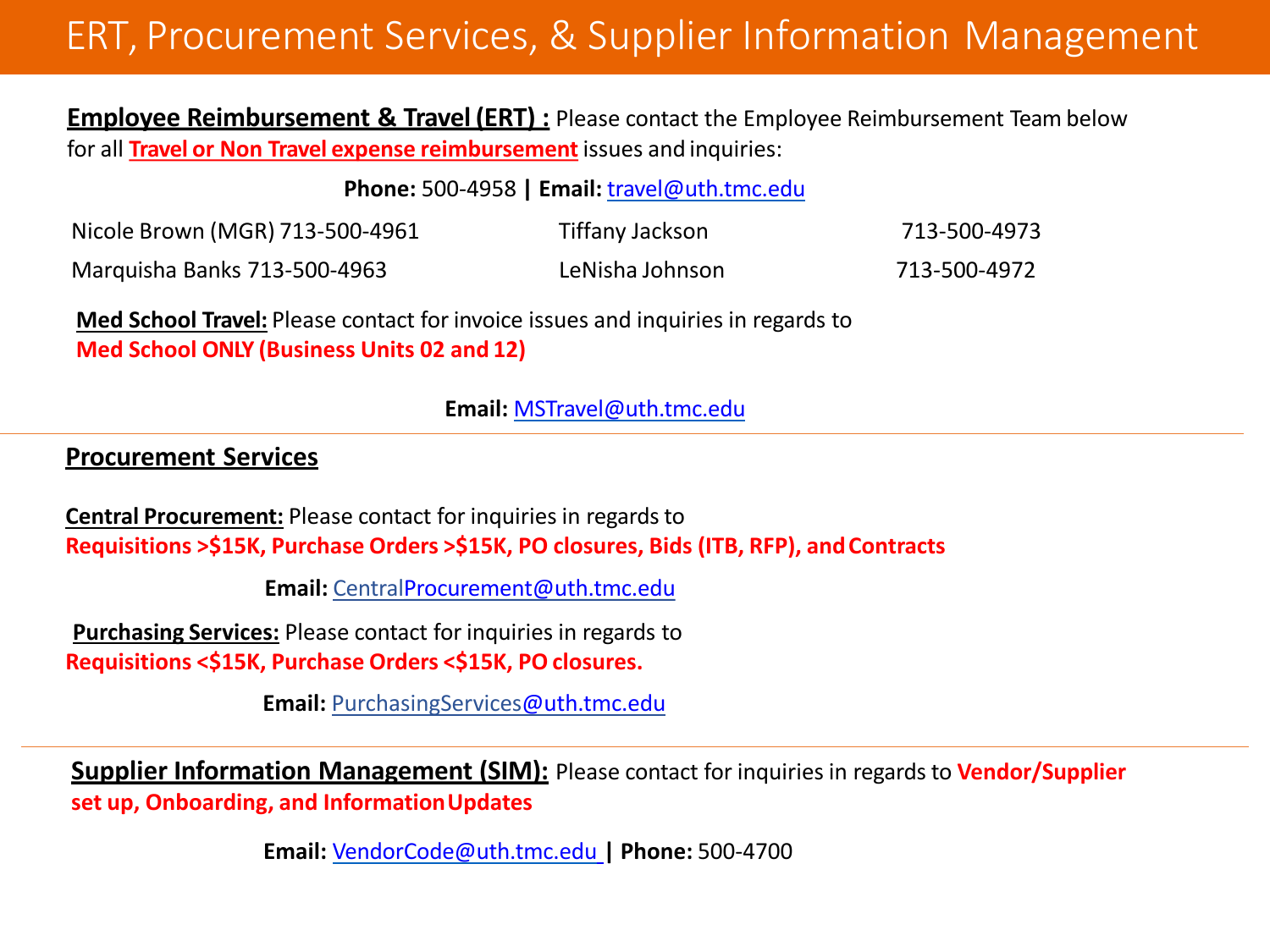## ERT, Procurement Services, & Supplier Information Management

**Employee Reimbursement & Travel (ERT):** Please contact the Employee Reimbursement Team below for all **Travel or Non Travel expense reimbursement** issues and inquiries:

**Phone:** 500-4958 **| Email:** [travel@uth.tmc.edu](mailto:travel@uth.tmc.edu)

| Nicole Brown (MGR) 713-500-4961 | Tiffany Jackson | 713-500-4973 |
|---------------------------------|-----------------|--------------|
| Marquisha Banks 713-500-4963    | LeNisha Johnson | 713-500-4972 |

**Med School Travel:** Please contact for invoice issues and inquiries in regards to **Med School ONLY (Business Units 02 and 12)**

**Email:** [MSTravel@uth.tmc.edu](mailto:MSTravel@uth.tmc.edu)

#### **Procurement Services**

**Central Procurement:** Please contact for inquiries in regards to **Requisitions >\$15K, Purchase Orders >\$15K, PO closures, Bids (ITB, RFP), andContracts**

**Email:** Centra[lProcurement@uth.tmc.edu](mailto:Procurement@uth.tmc.edu)

**Purchasing Services:** Please contact for inquiries in regards to **Requisitions <\$15K, Purchase Orders <\$15K, PO closures.**

**Email:** PurchasingServices[@uth.tmc.edu](mailto:ocurement@uth.tmc.edu)

**Supplier Information Management (SIM):** Please contact for inquiries in regards to **Vendor/Supplier set up, Onboarding, and InformationUpdates**

**Email:** [VendorCode@uth.tmc.edu](mailto:VendorCode@uth.tmc.edu) **| Phone:** 500-4700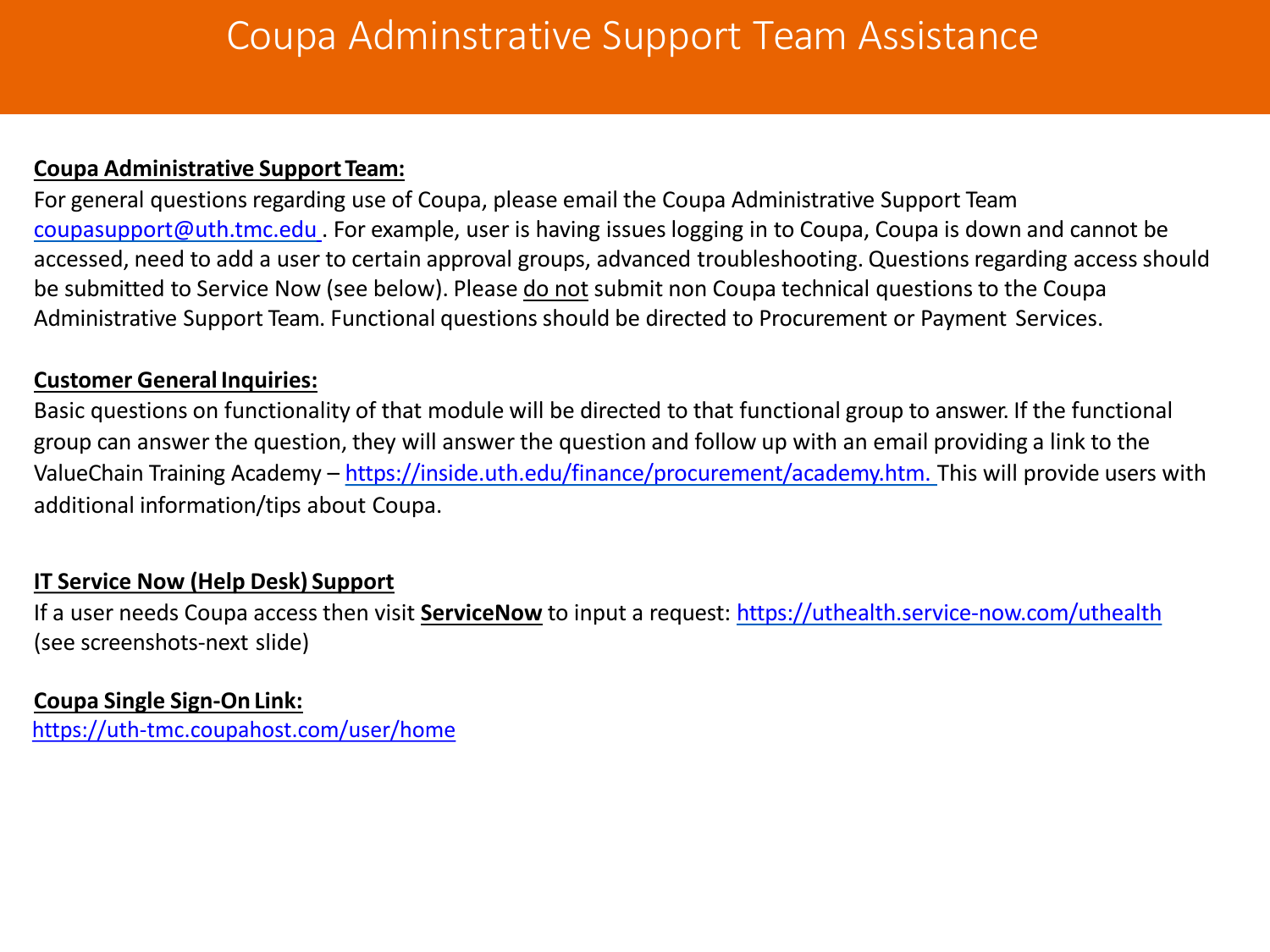#### **Coupa Administrative Support Team:**

For general questions regarding use of Coupa, please email the Coupa Administrative Support Team [coupasupport@uth.tmc.edu](mailto:coupasupport@uth.tmc.edu) . For example, user is having issues logging in to Coupa, Coupa is down and cannot be accessed, need to add a user to certain approval groups, advanced troubleshooting. Questions regarding access should be submitted to Service Now (see below). Please do not submit non Coupa technical questions to the Coupa Administrative Support Team. Functional questions should be directed to Procurement or Payment Services.

#### **Customer General Inquiries:**

Basic questions on functionality of that module will be directed to that functional group to answer. If the functional group can answer the question, they will answer the question and follow up with an email providing a link to the ValueChain Training Academy – [https://inside.uth.edu/finance/procurement/academy.htm.](https://inside.uth.edu/finance/procurement/academy.htm) This will provide users with additional information/tips about Coupa.

#### **IT Service Now (Help Desk) Support**

If a user needs Coupa access then visit **ServiceNow** to input a request: <https://uthealth.service-now.com/uthealth> (see screenshots-next slide)

#### **Coupa Single Sign-On Link:**

<https://uth-tmc.coupahost.com/user/home>